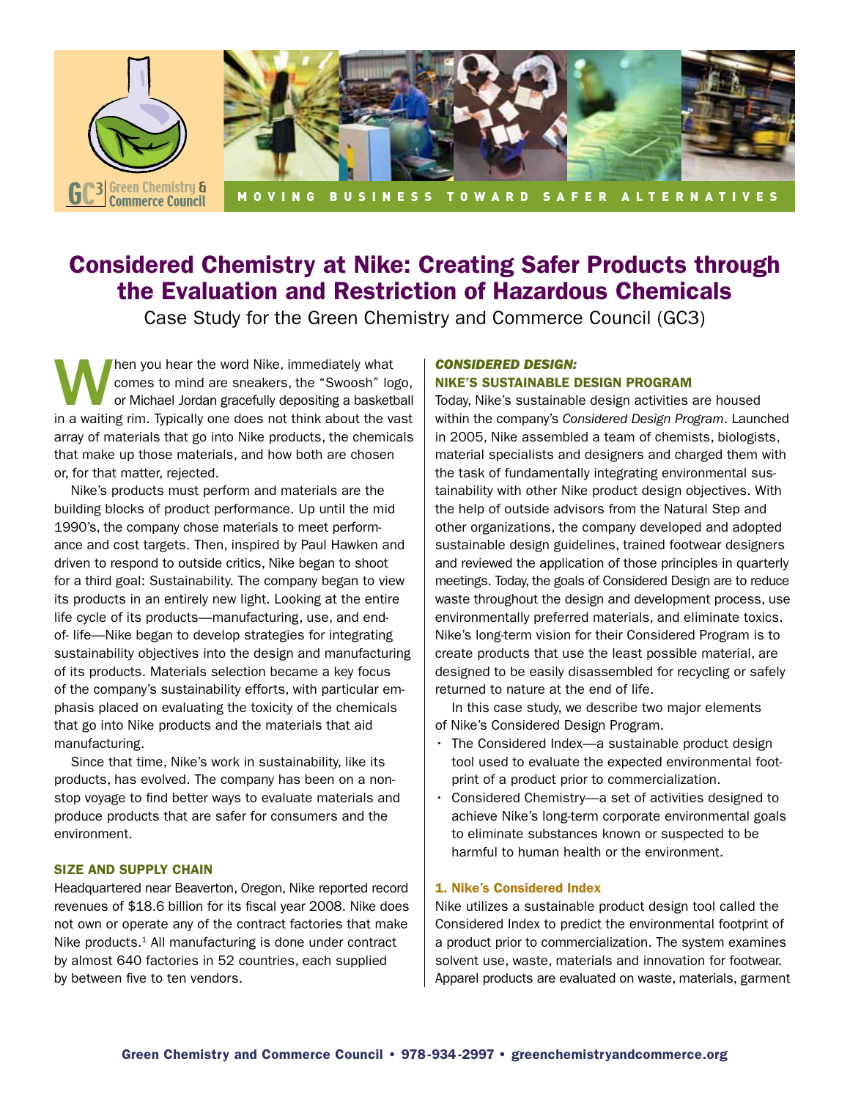

# Considered Chemistry at Nike: Creating Safer Products through the Evaluation and Restriction of Hazardous Chemicals

Case Study for the Green Chemistry and Commerce Council (GC3)

When you hear the word Nike, immediately what<br>
comes to mind are sneakers, the "Swoosh" log<br>
or Michael Jordan gracefully depositing a basketk<br>
in a waiting rim. Evrically one does not think about the va comes to mind are sneakers, the "Swoosh" logo, or Michael Jordan gracefully depositing a basketball in a waiting rim. Typically one does not think about the vast array of materials that go into Nike products, the chemicals that make up those materials, and how both are chosen or, for that matter, rejected.

Nike's products must perform and materials are the building blocks of product performance. Up until the mid 1990's, the company chose materials to meet performance and cost targets. Then, inspired by Paul Hawken and driven to respond to outside critics, Nike began to shoot for a third goal: Sustainability. The company began to view its products in an entirely new light. Looking at the entire life cycle of its products—manufacturing, use, and endof- life—Nike began to develop strategies for integrating sustainability objectives into the design and manufacturing of its products. Materials selection became a key focus of the company's sustainability efforts, with particular emphasis placed on evaluating the toxicity of the chemicals that go into Nike products and the materials that aid manufacturing.

Since that time, Nike's work in sustainability, like its products, has evolved. The company has been on a nonstop voyage to find better ways to evaluate materials and produce products that are safer for consumers and the environment.

#### Size and Supply Chain

Headquartered near Beaverton, Oregon, Nike reported record revenues of \$18.6 billion for its fiscal year 2008. Nike does not own or operate any of the contract factories that make Nike products. $1$  All manufacturing is done under contract by almost 640 factories in 52 countries, each supplied by between five to ten vendors.

#### *Considered Design:*  Nike's Sustainable Design Program

Today, Nike's sustainable design activities are housed within the company's *Considered Design Program*. Launched in 2005, Nike assembled a team of chemists, biologists, material specialists and designers and charged them with the task of fundamentally integrating environmental sustainability with other Nike product design objectives. With the help of outside advisors from the Natural Step and other organizations, the company developed and adopted sustainable design guidelines, trained footwear designers and reviewed the application of those principles in quarterly meetings. Today, the goals of Considered Design are to reduce waste throughout the design and development process, use environmentally preferred materials, and eliminate toxics. Nike's long-term vision for their Considered Program is to create products that use the least possible material, are designed to be easily disassembled for recycling or safely returned to nature at the end of life.

In this case study, we describe two major elements of Nike's Considered Design Program.

- $\cdot$  The Considered Index—a sustainable product design tool used to evaluate the expected environmental footprint of a product prior to commercialization.
- Considered Chemistry—a set of activities designed to achieve Nike's long-term corporate environmental goals to eliminate substances known or suspected to be harmful to human health or the environment.

#### 1. Nike's Considered Index

Nike utilizes a sustainable product design tool called the Considered Index to predict the environmental footprint of a product prior to commercialization. The system examines solvent use, waste, materials and innovation for footwear. Apparel products are evaluated on waste, materials, garment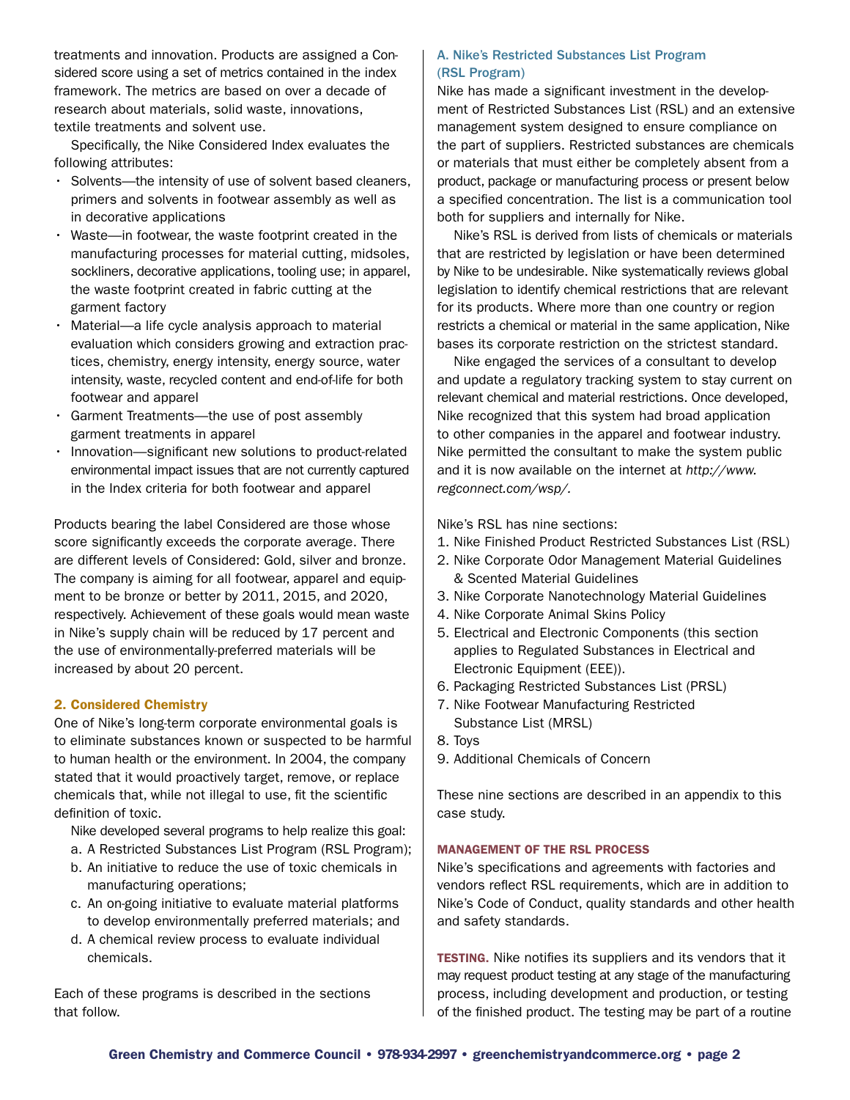treatments and innovation. Products are assigned a Considered score using a set of metrics contained in the index framework. The metrics are based on over a decade of research about materials, solid waste, innovations, textile treatments and solvent use.

Specifically, the Nike Considered Index evaluates the following attributes:

- Solvents—the intensity of use of solvent based cleaners, primers and solvents in footwear assembly as well as in decorative applications
- Waste—in footwear, the waste footprint created in the manufacturing processes for material cutting, midsoles, sockliners, decorative applications, tooling use; in apparel, the waste footprint created in fabric cutting at the garment factory
- $\cdot$  Material—a life cycle analysis approach to material evaluation which considers growing and extraction practices, chemistry, energy intensity, energy source, water intensity, waste, recycled content and end-of-life for both footwear and apparel
- • Garment Treatments—the use of post assembly garment treatments in apparel
- Innovation—significant new solutions to product-related environmental impact issues that are not currently captured in the Index criteria for both footwear and apparel

Products bearing the label Considered are those whose score significantly exceeds the corporate average. There are different levels of Considered: Gold, silver and bronze. The company is aiming for all footwear, apparel and equipment to be bronze or better by 2011, 2015, and 2020, respectively. Achievement of these goals would mean waste in Nike's supply chain will be reduced by 17 percent and the use of environmentally-preferred materials will be increased by about 20 percent.

#### 2. Considered Chemistry

One of Nike's long-term corporate environmental goals is to eliminate substances known or suspected to be harmful to human health or the environment. In 2004, the company stated that it would proactively target, remove, or replace chemicals that, while not illegal to use, fit the scientific definition of toxic.

Nike developed several programs to help realize this goal:

- a. A Restricted Substances List Program (RSL Program);
- b. An initiative to reduce the use of toxic chemicals in manufacturing operations;
- c. An on-going initiative to evaluate material platforms to develop environmentally preferred materials; and
- d. A chemical review process to evaluate individual chemicals.

Each of these programs is described in the sections that follow.

#### A. Nike's Restricted Substances List Program (RSL Program)

Nike has made a significant investment in the development of Restricted Substances List (RSL) and an extensive management system designed to ensure compliance on the part of suppliers. Restricted substances are chemicals or materials that must either be completely absent from a product, package or manufacturing process or present below a specified concentration. The list is a communication tool both for suppliers and internally for Nike.

Nike's RSL is derived from lists of chemicals or materials that are restricted by legislation or have been determined by Nike to be undesirable. Nike systematically reviews global legislation to identify chemical restrictions that are relevant for its products. Where more than one country or region restricts a chemical or material in the same application, Nike bases its corporate restriction on the strictest standard.

Nike engaged the services of a consultant to develop and update a regulatory tracking system to stay current on relevant chemical and material restrictions. Once developed, Nike recognized that this system had broad application to other companies in the apparel and footwear industry. Nike permitted the consultant to make the system public and it is now available on the internet at *http://www. regconnect.com/wsp/.*

Nike's RSL has nine sections:

- 1. Nike Finished Product Restricted Substances List (RSL)
- 2. Nike Corporate Odor Management Material Guidelines & Scented Material Guidelines
- 3. Nike Corporate Nanotechnology Material Guidelines
- 4. Nike Corporate Animal Skins Policy
- 5. Electrical and Electronic Components (this section applies to Regulated Substances in Electrical and Electronic Equipment (EEE)).
- 6. Packaging Restricted Substances List (PRSL)
- 7. Nike Footwear Manufacturing Restricted Substance List (MRSL)
- 8. Toys
- 9. Additional Chemicals of Concern

These nine sections are described in an appendix to this case study.

#### Management of the RSL Process

Nike's specifications and agreements with factories and vendors reflect RSL requirements, which are in addition to Nike's Code of Conduct, quality standards and other health and safety standards.

**TESTING.** Nike notifies its suppliers and its vendors that it may request product testing at any stage of the manufacturing process, including development and production, or testing of the finished product. The testing may be part of a routine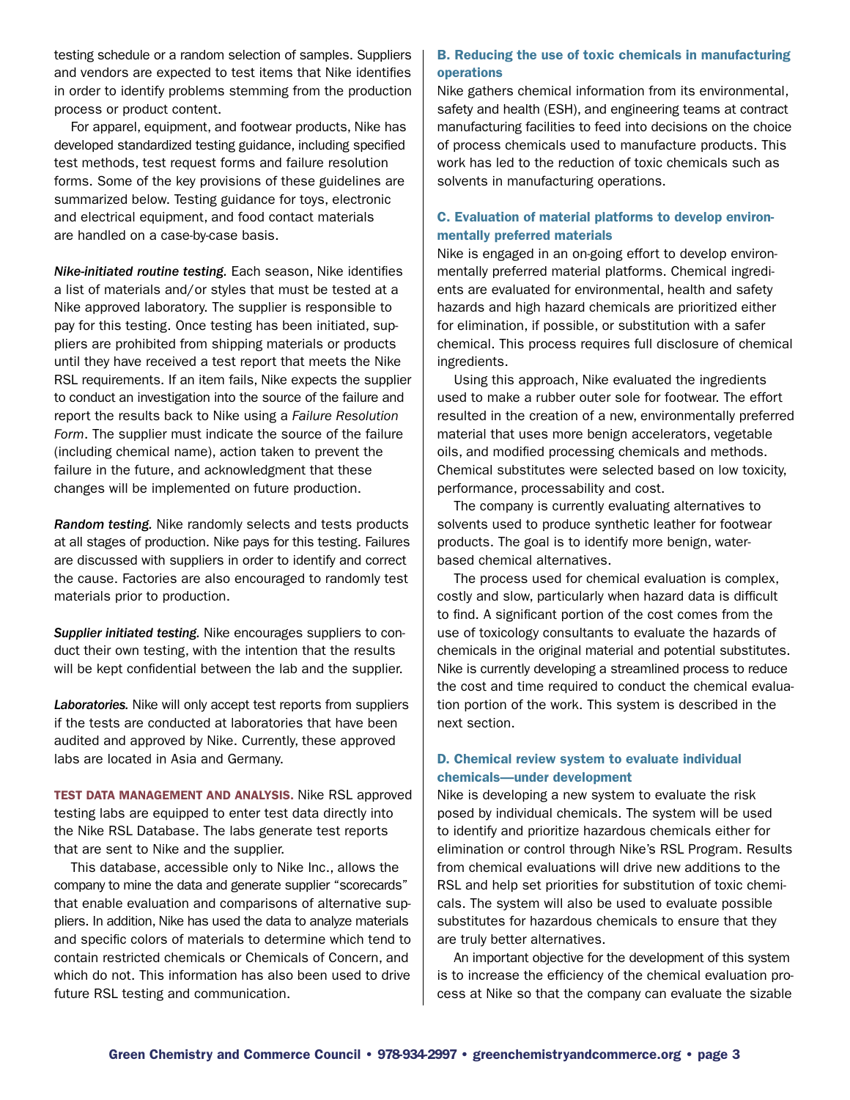testing schedule or a random selection of samples. Suppliers and vendors are expected to test items that Nike identifies in order to identify problems stemming from the production process or product content.

For apparel, equipment, and footwear products, Nike has developed standardized testing guidance, including specified test methods, test request forms and failure resolution forms. Some of the key provisions of these guidelines are summarized below. Testing guidance for toys, electronic and electrical equipment, and food contact materials are handled on a case-by-case basis.

*Nike-initiated routine testing.* Each season, Nike identifies a list of materials and/or styles that must be tested at a Nike approved laboratory. The supplier is responsible to pay for this testing. Once testing has been initiated, suppliers are prohibited from shipping materials or products until they have received a test report that meets the Nike RSL requirements. If an item fails, Nike expects the supplier to conduct an investigation into the source of the failure and report the results back to Nike using a *Failure Resolution Form*. The supplier must indicate the source of the failure (including chemical name), action taken to prevent the failure in the future, and acknowledgment that these changes will be implemented on future production.

*Random testing.* Nike randomly selects and tests products at all stages of production. Nike pays for this testing. Failures are discussed with suppliers in order to identify and correct the cause. Factories are also encouraged to randomly test materials prior to production.

*Supplier initiated testing.* Nike encourages suppliers to conduct their own testing, with the intention that the results will be kept confidential between the lab and the supplier.

*Laboratories.* Nike will only accept test reports from suppliers if the tests are conducted at laboratories that have been audited and approved by Nike. Currently, these approved labs are located in Asia and Germany.

Test Data Management and Analysis. Nike RSL approved testing labs are equipped to enter test data directly into the Nike RSL Database. The labs generate test reports that are sent to Nike and the supplier.

This database, accessible only to Nike Inc., allows the company to mine the data and generate supplier "scorecards" that enable evaluation and comparisons of alternative suppliers. In addition, Nike has used the data to analyze materials and specific colors of materials to determine which tend to contain restricted chemicals or Chemicals of Concern, and which do not. This information has also been used to drive future RSL testing and communication.

#### B. Reducing the use of toxic chemicals in manufacturing operations

Nike gathers chemical information from its environmental, safety and health (ESH), and engineering teams at contract manufacturing facilities to feed into decisions on the choice of process chemicals used to manufacture products. This work has led to the reduction of toxic chemicals such as solvents in manufacturing operations.

#### C. Evaluation of material platforms to develop environmentally preferred materials

Nike is engaged in an on-going effort to develop environmentally preferred material platforms. Chemical ingredients are evaluated for environmental, health and safety hazards and high hazard chemicals are prioritized either for elimination, if possible, or substitution with a safer chemical. This process requires full disclosure of chemical ingredients.

Using this approach, Nike evaluated the ingredients used to make a rubber outer sole for footwear. The effort resulted in the creation of a new, environmentally preferred material that uses more benign accelerators, vegetable oils, and modified processing chemicals and methods. Chemical substitutes were selected based on low toxicity, performance, processability and cost.

The company is currently evaluating alternatives to solvents used to produce synthetic leather for footwear products. The goal is to identify more benign, waterbased chemical alternatives.

The process used for chemical evaluation is complex, costly and slow, particularly when hazard data is difficult to find. A significant portion of the cost comes from the use of toxicology consultants to evaluate the hazards of chemicals in the original material and potential substitutes. Nike is currently developing a streamlined process to reduce the cost and time required to conduct the chemical evaluation portion of the work. This system is described in the next section.

#### D. Chemical review system to evaluate individual chemicals—under development

Nike is developing a new system to evaluate the risk posed by individual chemicals. The system will be used to identify and prioritize hazardous chemicals either for elimination or control through Nike's RSL Program. Results from chemical evaluations will drive new additions to the RSL and help set priorities for substitution of toxic chemicals. The system will also be used to evaluate possible substitutes for hazardous chemicals to ensure that they are truly better alternatives.

An important objective for the development of this system is to increase the efficiency of the chemical evaluation process at Nike so that the company can evaluate the sizable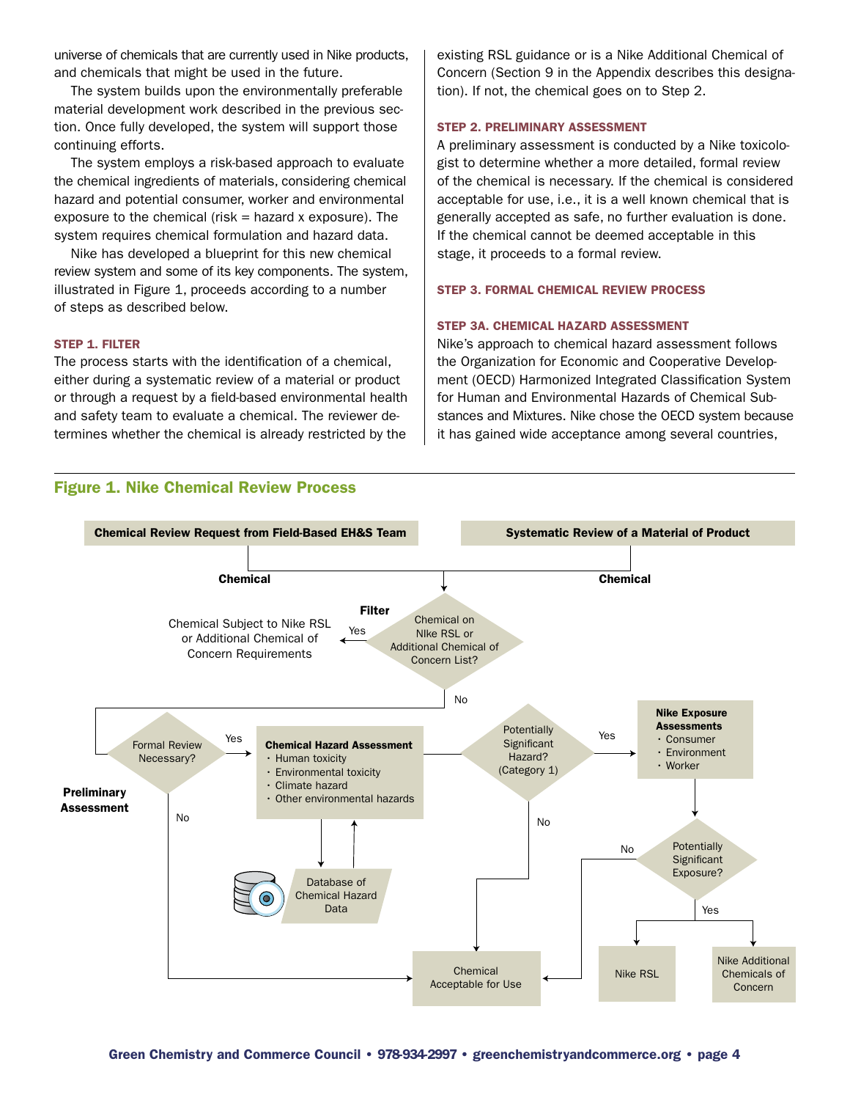universe of chemicals that are currently used in Nike products, and chemicals that might be used in the future.

The system builds upon the environmentally preferable material development work described in the previous section. Once fully developed, the system will support those continuing efforts.

The system employs a risk-based approach to evaluate the chemical ingredients of materials, considering chemical hazard and potential consumer, worker and environmental exposure to the chemical (risk  $=$  hazard x exposure). The system requires chemical formulation and hazard data.

Nike has developed a blueprint for this new chemical review system and some of its key components. The system, illustrated in Figure 1, proceeds according to a number of steps as described below.

#### Step 1. Filter

The process starts with the identification of a chemical, either during a systematic review of a material or product or through a request by a field-based environmental health and safety team to evaluate a chemical. The reviewer determines whether the chemical is already restricted by the existing RSL guidance or is a Nike Additional Chemical of Concern (Section 9 in the Appendix describes this designation). If not, the chemical goes on to Step 2.

#### Step 2. Preliminary Assessment

A preliminary assessment is conducted by a Nike toxicologist to determine whether a more detailed, formal review of the chemical is necessary. If the chemical is considered acceptable for use, i.e., it is a well known chemical that is generally accepted as safe, no further evaluation is done. If the chemical cannot be deemed acceptable in this stage, it proceeds to a formal review.

#### Step 3. Formal Chemical Review Process

#### Step 3a. Chemical Hazard Assessment

Nike's approach to chemical hazard assessment follows the Organization for Economic and Cooperative Development (OECD) Harmonized Integrated Classification System for Human and Environmental Hazards of Chemical Substances and Mixtures. Nike chose the OECD system because it has gained wide acceptance among several countries,



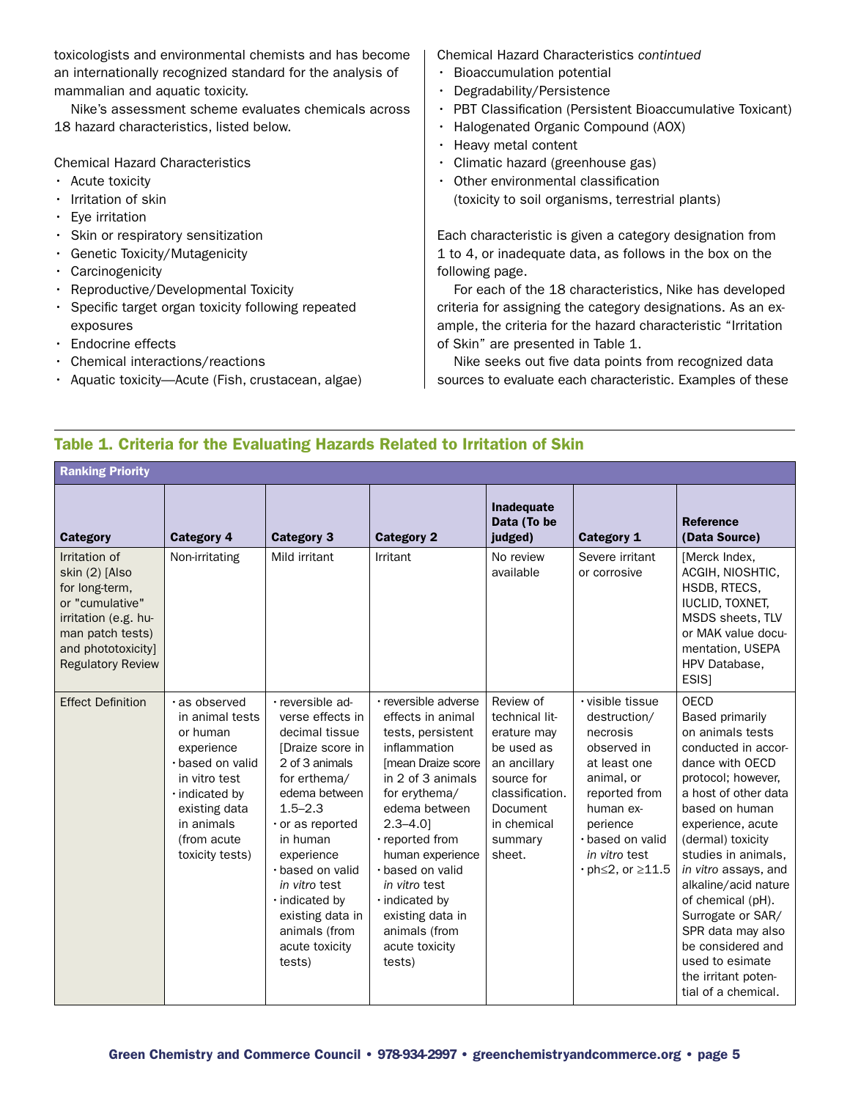toxicologists and environmental chemists and has become an internationally recognized standard for the analysis of mammalian and aquatic toxicity.

Nike's assessment scheme evaluates chemicals across 18 hazard characteristics, listed below.

Chemical Hazard Characteristics

- Acute toxicity
- Irritation of skin
- $\cdot$  Eve irritation
- • Skin or respiratory sensitization
- • Genetic Toxicity/Mutagenicity
- • Carcinogenicity
- • Reproductive/Developmental Toxicity
- Specific target organ toxicity following repeated exposures
- • Endocrine effects
- • Chemical interactions/reactions
- Aquatic toxicity—Acute (Fish, crustacean, algae)

Chemical Hazard Characteristics *contintued*

- • Bioaccumulation potential
- Degradability/Persistence
- PBT Classification (Persistent Bioaccumulative Toxicant)
- • Halogenated Organic Compound (AOX)
- • Heavy metal content
- Climatic hazard (greenhouse gas)
- • Other environmental classification

(toxicity to soil organisms, terrestrial plants)

Each characteristic is given a category designation from 1 to 4, or inadequate data, as follows in the box on the following page.

For each of the 18 characteristics, Nike has developed criteria for assigning the category designations. As an example, the criteria for the hazard characteristic "Irritation of Skin" are presented in Table 1.

Nike seeks out five data points from recognized data sources to evaluate each characteristic. Examples of these

# Table 1. Criteria for the Evaluating Hazards Related to Irritation of Skin

Ranking Priority

| Category<br>Irritation of<br>skin (2) [Also<br>for long-term,<br>or "cumulative"<br>irritation (e.g. hu-<br>man patch tests)<br>and phototoxicity]<br><b>Regulatory Review</b> | <b>Category 4</b><br>Non-irritating                                                                                                                                                | <b>Category 3</b><br>Mild irritant                                                                                                                                                                                                                                                                                       | <b>Category 2</b><br>Irritant                                                                                                                                                                                                                                                                                                                    | Inadequate<br>Data (To be<br>judged)<br>No review<br>available                                                                                                   | <b>Category 1</b><br>Severe irritant<br>or corrosive                                                                                                                                                            | <b>Reference</b><br>(Data Source)<br>[Merck Index,<br>ACGIH, NIOSHTIC,<br>HSDB, RTECS,<br><b>IUCLID, TOXNET,</b><br>MSDS sheets, TLV<br>or MAK value docu-<br>mentation, USEPA<br>HPV Database,<br>ESIS]                                                                                                                                                                                                                                  |
|--------------------------------------------------------------------------------------------------------------------------------------------------------------------------------|------------------------------------------------------------------------------------------------------------------------------------------------------------------------------------|--------------------------------------------------------------------------------------------------------------------------------------------------------------------------------------------------------------------------------------------------------------------------------------------------------------------------|--------------------------------------------------------------------------------------------------------------------------------------------------------------------------------------------------------------------------------------------------------------------------------------------------------------------------------------------------|------------------------------------------------------------------------------------------------------------------------------------------------------------------|-----------------------------------------------------------------------------------------------------------------------------------------------------------------------------------------------------------------|-------------------------------------------------------------------------------------------------------------------------------------------------------------------------------------------------------------------------------------------------------------------------------------------------------------------------------------------------------------------------------------------------------------------------------------------|
| <b>Effect Definition</b>                                                                                                                                                       | · as observed<br>in animal tests<br>or human<br>experience<br>· based on valid<br>in vitro test<br>. indicated by<br>existing data<br>in animals<br>(from acute<br>toxicity tests) | · reversible ad-<br>verse effects in<br>decimal tissue<br>[Draize score in<br>2 of 3 animals<br>for erthema/<br>edema between<br>$1.5 - 2.3$<br>$\cdot$ or as reported<br>in human<br>experience<br>· based on valid<br>in vitro test<br>. indicated by<br>existing data in<br>animals (from<br>acute toxicity<br>tests) | · reversible adverse<br>effects in animal<br>tests, persistent<br>inflammation<br>[mean Draize score<br>in 2 of 3 animals<br>for erythema/<br>edema between<br>$2.3 - 4.01$<br>· reported from<br>human experience<br>· based on valid<br>in vitro test<br>$\cdot$ indicated by<br>existing data in<br>animals (from<br>acute toxicity<br>tests) | Review of<br>technical lit-<br>erature may<br>be used as<br>an ancillary<br>source for<br>classification.<br><b>Document</b><br>in chemical<br>summary<br>sheet. | · visible tissue<br>destruction/<br>necrosis<br>observed in<br>at least one<br>animal, or<br>reported from<br>human ex-<br>perience<br>· based on valid<br>in vitro test<br>$\cdot$ ph $\leq$ 2, or $\geq$ 11.5 | <b>OECD</b><br><b>Based primarily</b><br>on animals tests<br>conducted in accor-<br>dance with OECD<br>protocol; however,<br>a host of other data<br>based on human<br>experience, acute<br>(dermal) toxicity<br>studies in animals,<br>in vitro assays, and<br>alkaline/acid nature<br>of chemical (pH).<br>Surrogate or SAR/<br>SPR data may also<br>be considered and<br>used to esimate<br>the irritant poten-<br>tial of a chemical. |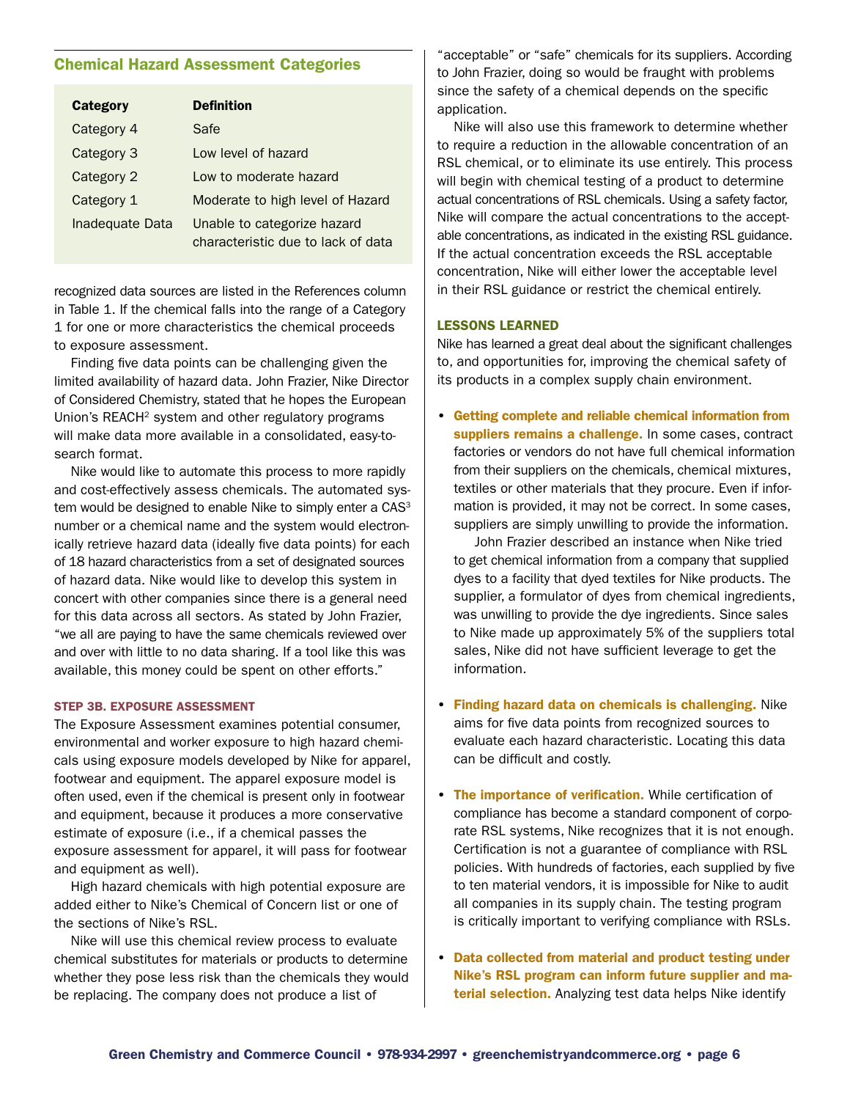### Chemical Hazard Assessment Categories

| <b>Category</b> | <b>Definition</b>                                                 |  |  |
|-----------------|-------------------------------------------------------------------|--|--|
| Category 4      | Safe                                                              |  |  |
| Category 3      | Low level of hazard                                               |  |  |
| Category 2      | Low to moderate hazard                                            |  |  |
| Category 1      | Moderate to high level of Hazard                                  |  |  |
| Inadequate Data | Unable to categorize hazard<br>characteristic due to lack of data |  |  |

recognized data sources are listed in the References column in Table 1. If the chemical falls into the range of a Category 1 for one or more characteristics the chemical proceeds to exposure assessment.

Finding five data points can be challenging given the limited availability of hazard data. John Frazier, Nike Director of Considered Chemistry, stated that he hopes the European Union's REACH<sup>2</sup> system and other regulatory programs will make data more available in a consolidated, easy-tosearch format.

Nike would like to automate this process to more rapidly and cost-effectively assess chemicals. The automated system would be designed to enable Nike to simply enter a  $CAS<sup>3</sup>$ number or a chemical name and the system would electronically retrieve hazard data (ideally five data points) for each of 18 hazard characteristics from a set of designated sources of hazard data. Nike would like to develop this system in concert with other companies since there is a general need for this data across all sectors. As stated by John Frazier, "we all are paying to have the same chemicals reviewed over and over with little to no data sharing. If a tool like this was available, this money could be spent on other efforts."

#### Step 3b. Exposure Assessment

The Exposure Assessment examines potential consumer, environmental and worker exposure to high hazard chemicals using exposure models developed by Nike for apparel, footwear and equipment. The apparel exposure model is often used, even if the chemical is present only in footwear and equipment, because it produces a more conservative estimate of exposure (i.e., if a chemical passes the exposure assessment for apparel, it will pass for footwear and equipment as well).

High hazard chemicals with high potential exposure are added either to Nike's Chemical of Concern list or one of the sections of Nike's RSL.

Nike will use this chemical review process to evaluate chemical substitutes for materials or products to determine whether they pose less risk than the chemicals they would be replacing. The company does not produce a list of

"acceptable" or "safe" chemicals for its suppliers. According to John Frazier, doing so would be fraught with problems since the safety of a chemical depends on the specific application.

Nike will also use this framework to determine whether to require a reduction in the allowable concentration of an RSL chemical, or to eliminate its use entirely. This process will begin with chemical testing of a product to determine actual concentrations of RSL chemicals. Using a safety factor, Nike will compare the actual concentrations to the acceptable concentrations, as indicated in the existing RSL guidance. If the actual concentration exceeds the RSL acceptable concentration, Nike will either lower the acceptable level in their RSL guidance or restrict the chemical entirely.

#### Lessons Learned

Nike has learned a great deal about the significant challenges to, and opportunities for, improving the chemical safety of its products in a complex supply chain environment.

• Getting complete and reliable chemical information from suppliers remains a challenge. In some cases, contract factories or vendors do not have full chemical information from their suppliers on the chemicals, chemical mixtures, textiles or other materials that they procure. Even if information is provided, it may not be correct. In some cases, suppliers are simply unwilling to provide the information.

 John Frazier described an instance when Nike tried to get chemical information from a company that supplied dyes to a facility that dyed textiles for Nike products. The supplier, a formulator of dyes from chemical ingredients, was unwilling to provide the dye ingredients. Since sales to Nike made up approximately 5% of the suppliers total sales, Nike did not have sufficient leverage to get the information.

- Finding hazard data on chemicals is challenging. Nike aims for five data points from recognized sources to evaluate each hazard characteristic. Locating this data can be difficult and costly.
- The importance of verification. While certification of compliance has become a standard component of corporate RSL systems, Nike recognizes that it is not enough. Certification is not a guarantee of compliance with RSL policies. With hundreds of factories, each supplied by five to ten material vendors, it is impossible for Nike to audit all companies in its supply chain. The testing program is critically important to verifying compliance with RSLs.
- Data collected from material and product testing under Nike's RSL program can inform future supplier and material selection. Analyzing test data helps Nike identify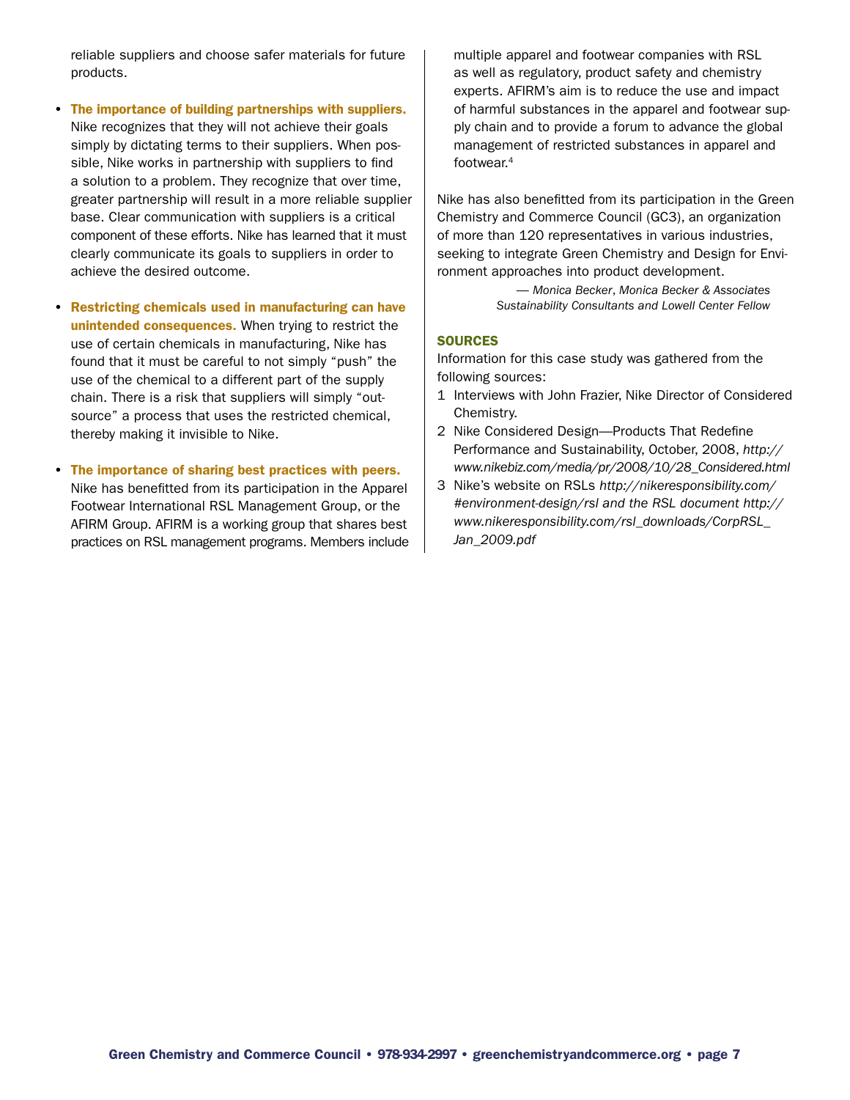reliable suppliers and choose safer materials for future products.

- The importance of building partnerships with suppliers. Nike recognizes that they will not achieve their goals simply by dictating terms to their suppliers. When possible, Nike works in partnership with suppliers to find a solution to a problem. They recognize that over time, greater partnership will result in a more reliable supplier base. Clear communication with suppliers is a critical component of these efforts. Nike has learned that it must clearly communicate its goals to suppliers in order to achieve the desired outcome.
- Restricting chemicals used in manufacturing can have unintended consequences. When trying to restrict the use of certain chemicals in manufacturing, Nike has found that it must be careful to not simply "push" the use of the chemical to a different part of the supply chain. There is a risk that suppliers will simply "outsource" a process that uses the restricted chemical, thereby making it invisible to Nike.
- The importance of sharing best practices with peers. Nike has benefitted from its participation in the Apparel Footwear International RSL Management Group, or the AFIRM Group. AFIRM is a working group that shares best practices on RSL management programs. Members include

multiple apparel and footwear companies with RSL as well as regulatory, product safety and chemistry experts. AFIRM's aim is to reduce the use and impact of harmful substances in the apparel and footwear supply chain and to provide a forum to advance the global management of restricted substances in apparel and footwear.4

Nike has also benefitted from its participation in the Green Chemistry and Commerce Council (GC3), an organization of more than 120 representatives in various industries, seeking to integrate Green Chemistry and Design for Environment approaches into product development.

> — *Monica Becker*, *Monica Becker & Associates Sustainability Consultants and Lowell Center Fellow*

#### **SOURCES**

Information for this case study was gathered from the following sources:

- 1 Interviews with John Frazier, Nike Director of Considered Chemistry.
- 2 Nike Considered Design—Products That Redefine Performance and Sustainability, October, 2008, *http:// www.nikebiz.com/media/pr/2008/10/28\_Considered.html*
- 3 Nike's website on RSLs *http://nikeresponsibility.com/ #environment-design/rsl and the RSL document http:// www.nikeresponsibility.com/rsl\_downloads/CorpRSL\_ Jan\_2009.pdf*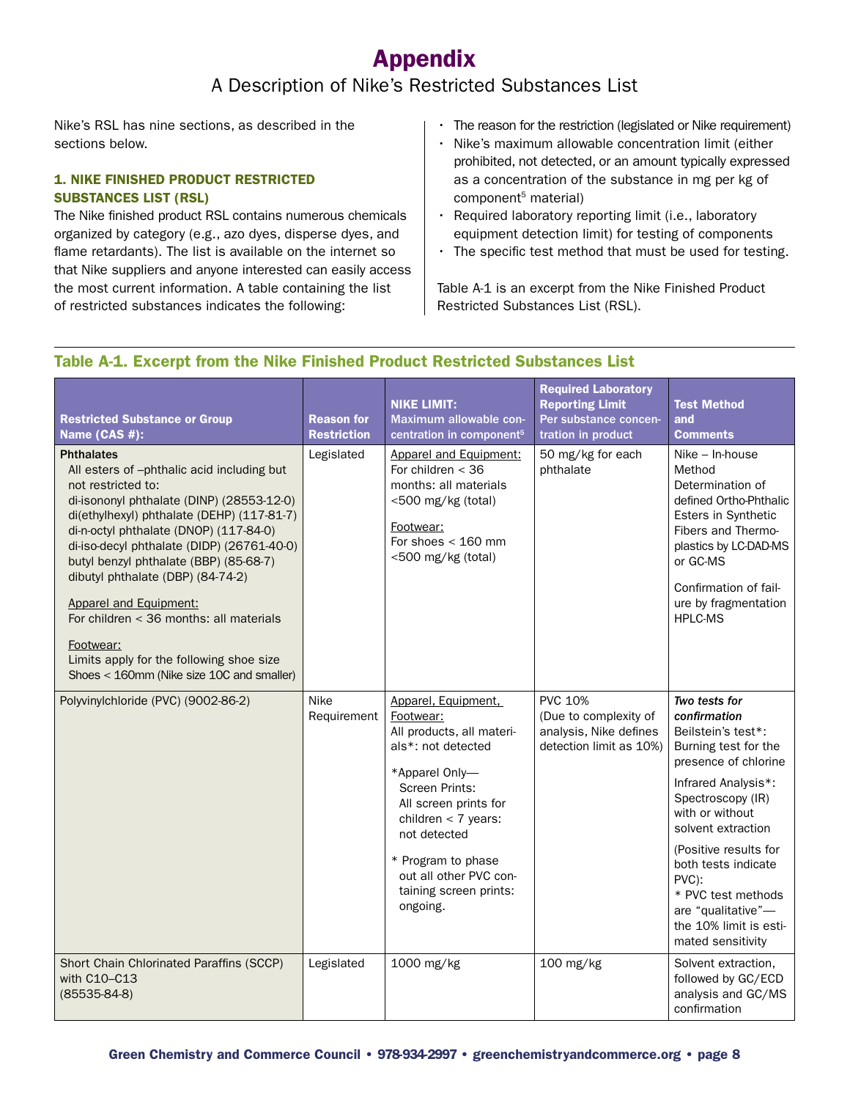# Appendix

# A Description of Nike's Restricted Substances List

Nike's RSL has nine sections, as described in the sections below.

# 1. Nike Finished Product Restricted Substances List (RSL)

The Nike finished product RSL contains numerous chemicals organized by category (e.g., azo dyes, disperse dyes, and flame retardants). The list is available on the internet so that Nike suppliers and anyone interested can easily access the most current information. A table containing the list of restricted substances indicates the following:

- The reason for the restriction (legislated or Nike requirement)
- Nike's maximum allowable concentration limit (either prohibited, not detected, or an amount typically expressed as a concentration of the substance in mg per kg of component<sup>5</sup> material)
- Required laboratory reporting limit (i.e., laboratory equipment detection limit) for testing of components
- The specific test method that must be used for testing.

Table A-1 is an excerpt from the Nike Finished Product Restricted Substances List (RSL).

# Table A-1. Excerpt from the Nike Finished Product Restricted Substances List

| <b>Restricted Substance or Group</b><br>Name (CAS #):                                                                                                                                                                                                                                                                                                                                                                                                                                                                                       | <b>Reason for</b><br><b>Restriction</b> | <b>NIKE LIMIT:</b><br>Maximum allowable con-<br>centration in component <sup>5</sup>                                                                                                                                                                                                   | <b>Required Laboratory</b><br><b>Reporting Limit</b><br>Per substance concen-<br>tration in product | <b>Test Method</b><br>and<br><b>Comments</b>                                                                                                                                                                                                                                                                                                 |
|---------------------------------------------------------------------------------------------------------------------------------------------------------------------------------------------------------------------------------------------------------------------------------------------------------------------------------------------------------------------------------------------------------------------------------------------------------------------------------------------------------------------------------------------|-----------------------------------------|----------------------------------------------------------------------------------------------------------------------------------------------------------------------------------------------------------------------------------------------------------------------------------------|-----------------------------------------------------------------------------------------------------|----------------------------------------------------------------------------------------------------------------------------------------------------------------------------------------------------------------------------------------------------------------------------------------------------------------------------------------------|
| <b>Phthalates</b><br>All esters of -phthalic acid including but<br>not restricted to:<br>di-isononyl phthalate (DINP) (28553-12-0)<br>di(ethylhexyl) phthalate (DEHP) (117-81-7)<br>di-n-octyl phthalate (DNOP) (117-84-0)<br>di-iso-decyl phthalate (DIDP) (26761-40-0)<br>butyl benzyl phthalate (BBP) (85-68-7)<br>dibutyl phthalate (DBP) (84-74-2)<br><b>Apparel and Equipment:</b><br>For children $<$ 36 months: all materials<br>Footwear:<br>Limits apply for the following shoe size<br>Shoes < 160mm (Nike size 10C and smaller) | Legislated                              | Apparel and Equipment:<br>For children $<$ 36<br>months: all materials<br><500 mg/kg (total)<br>Footwear:<br>For shoes $<$ 160 mm<br><500 mg/kg (total)                                                                                                                                | 50 mg/kg for each<br>phthalate                                                                      | Nike - In-house<br>Method<br>Determination of<br>defined Ortho-Phthalic<br>Esters in Synthetic<br>Fibers and Thermo-<br>plastics by LC-DAD-MS<br>or GC-MS<br>Confirmation of fail-<br>ure by fragmentation<br><b>HPLC-MS</b>                                                                                                                 |
| Polyvinylchloride (PVC) (9002-86-2)                                                                                                                                                                                                                                                                                                                                                                                                                                                                                                         | Nike<br>Requirement                     | Apparel, Equipment,<br>Footwear:<br>All products, all materi-<br>als*: not detected<br>*Apparel Only-<br><b>Screen Prints:</b><br>All screen prints for<br>children $<$ 7 years:<br>not detected<br>* Program to phase<br>out all other PVC con-<br>taining screen prints:<br>ongoing. | <b>PVC 10%</b><br>(Due to complexity of<br>analysis, Nike defines<br>detection limit as 10%)        | Two tests for<br>confirmation<br>Beilstein's test*:<br>Burning test for the<br>presence of chlorine<br>Infrared Analysis*:<br>Spectroscopy (IR)<br>with or without<br>solvent extraction<br>(Positive results for<br>both tests indicate<br>PVC):<br>* PVC test methods<br>are "qualitative"-<br>the 10% limit is esti-<br>mated sensitivity |
| Short Chain Chlorinated Paraffins (SCCP)<br>with C10-C13<br>$(85535-84-8)$                                                                                                                                                                                                                                                                                                                                                                                                                                                                  | Legislated                              | 1000 mg/kg                                                                                                                                                                                                                                                                             | 100 mg/kg                                                                                           | Solvent extraction,<br>followed by GC/ECD<br>analysis and GC/MS<br>confirmation                                                                                                                                                                                                                                                              |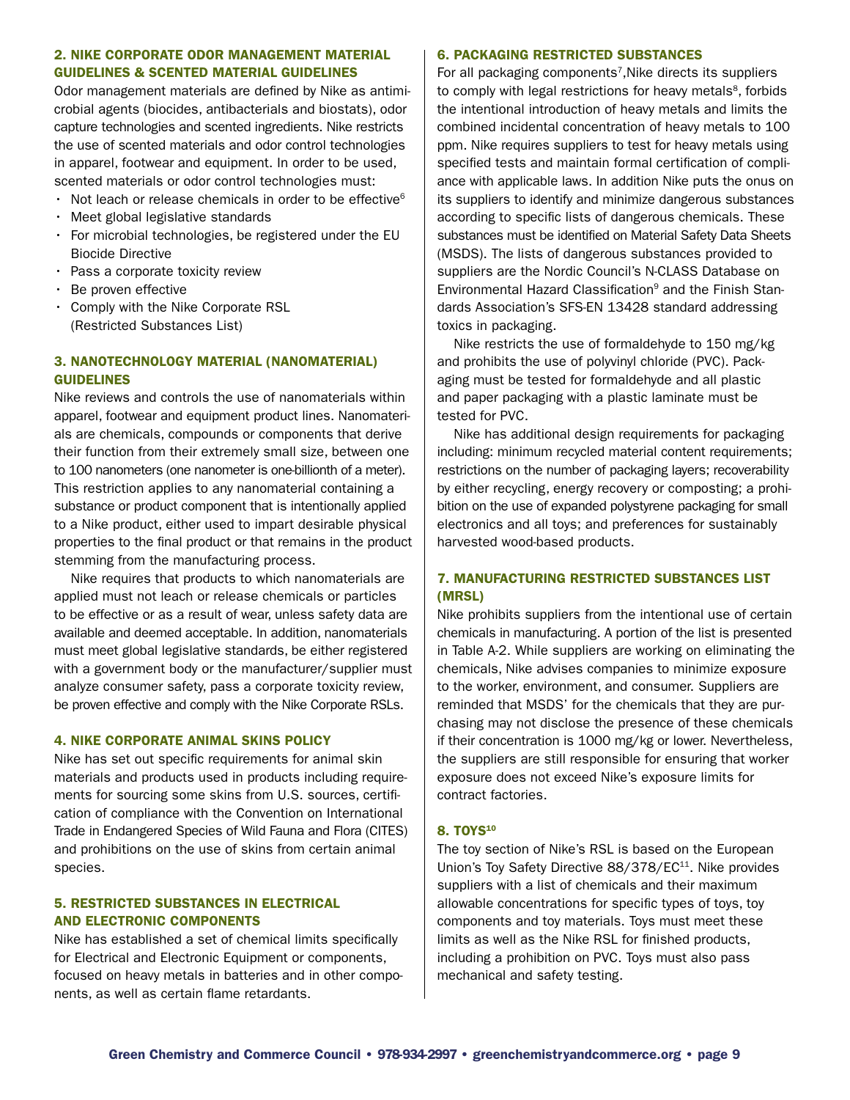#### 2. Nike Corporate Odor Management Material Guidelines & Scented Material Guidelines

Odor management materials are defined by Nike as antimicrobial agents (biocides, antibacterials and biostats), odor capture technologies and scented ingredients. Nike restricts the use of scented materials and odor control technologies in apparel, footwear and equipment. In order to be used, scented materials or odor control technologies must:

- $\cdot$  Not leach or release chemicals in order to be effective $^6$
- $\cdot$  Meet global legislative standards
- For microbial technologies, be registered under the EU Biocide Directive
- Pass a corporate toxicity review
- • Be proven effective
- • Comply with the Nike Corporate RSL (Restricted Substances List)

# 3. Nanotechnology Material (Nanomaterial) **GUIDELINES**

Nike reviews and controls the use of nanomaterials within apparel, footwear and equipment product lines. Nanomaterials are chemicals, compounds or components that derive their function from their extremely small size, between one to 100 nanometers (one nanometer is one-billionth of a meter). This restriction applies to any nanomaterial containing a substance or product component that is intentionally applied to a Nike product, either used to impart desirable physical properties to the final product or that remains in the product stemming from the manufacturing process.

Nike requires that products to which nanomaterials are applied must not leach or release chemicals or particles to be effective or as a result of wear, unless safety data are available and deemed acceptable. In addition, nanomaterials must meet global legislative standards, be either registered with a government body or the manufacturer/supplier must analyze consumer safety, pass a corporate toxicity review, be proven effective and comply with the Nike Corporate RSLs.

#### 4. Nike Corporate Animal Skins Policy

Nike has set out specific requirements for animal skin materials and products used in products including requirements for sourcing some skins from U.S. sources, certification of compliance with the Convention on International Trade in Endangered Species of Wild Fauna and Flora (CITES) and prohibitions on the use of skins from certain animal species.

#### 5. Restricted Substances in Electrical and Electronic Components

Nike has established a set of chemical limits specifically for Electrical and Electronic Equipment or components, focused on heavy metals in batteries and in other components, as well as certain flame retardants.

#### 6. Packaging Restricted Substances

For all packaging components<sup>7</sup>, Nike directs its suppliers to comply with legal restrictions for heavy metals<sup>8</sup>, forbids the intentional introduction of heavy metals and limits the combined incidental concentration of heavy metals to 100 ppm. Nike requires suppliers to test for heavy metals using specified tests and maintain formal certification of compliance with applicable laws. In addition Nike puts the onus on its suppliers to identify and minimize dangerous substances according to specific lists of dangerous chemicals. These substances must be identified on Material Safety Data Sheets (MSDS). The lists of dangerous substances provided to suppliers are the Nordic Council's N-CLASS Database on Environmental Hazard Classification<sup>9</sup> and the Finish Standards Association's SFS-EN 13428 standard addressing toxics in packaging.

Nike restricts the use of formaldehyde to 150 mg/kg and prohibits the use of polyvinyl chloride (PVC). Packaging must be tested for formaldehyde and all plastic and paper packaging with a plastic laminate must be tested for PVC.

Nike has additional design requirements for packaging including: minimum recycled material content requirements; restrictions on the number of packaging layers; recoverability by either recycling, energy recovery or composting; a prohibition on the use of expanded polystyrene packaging for small electronics and all toys; and preferences for sustainably harvested wood-based products.

### 7. Manufacturing Restricted Substances List (MRSL)

Nike prohibits suppliers from the intentional use of certain chemicals in manufacturing. A portion of the list is presented in Table A-2. While suppliers are working on eliminating the chemicals, Nike advises companies to minimize exposure to the worker, environment, and consumer. Suppliers are reminded that MSDS' for the chemicals that they are purchasing may not disclose the presence of these chemicals if their concentration is 1000 mg/kg or lower. Nevertheless, the suppliers are still responsible for ensuring that worker exposure does not exceed Nike's exposure limits for contract factories.

#### 8. TOYS<sup>10</sup>

The toy section of Nike's RSL is based on the European Union's Toy Safety Directive 88/378/EC<sup>11</sup>. Nike provides suppliers with a list of chemicals and their maximum allowable concentrations for specific types of toys, toy components and toy materials. Toys must meet these limits as well as the Nike RSL for finished products, including a prohibition on PVC. Toys must also pass mechanical and safety testing.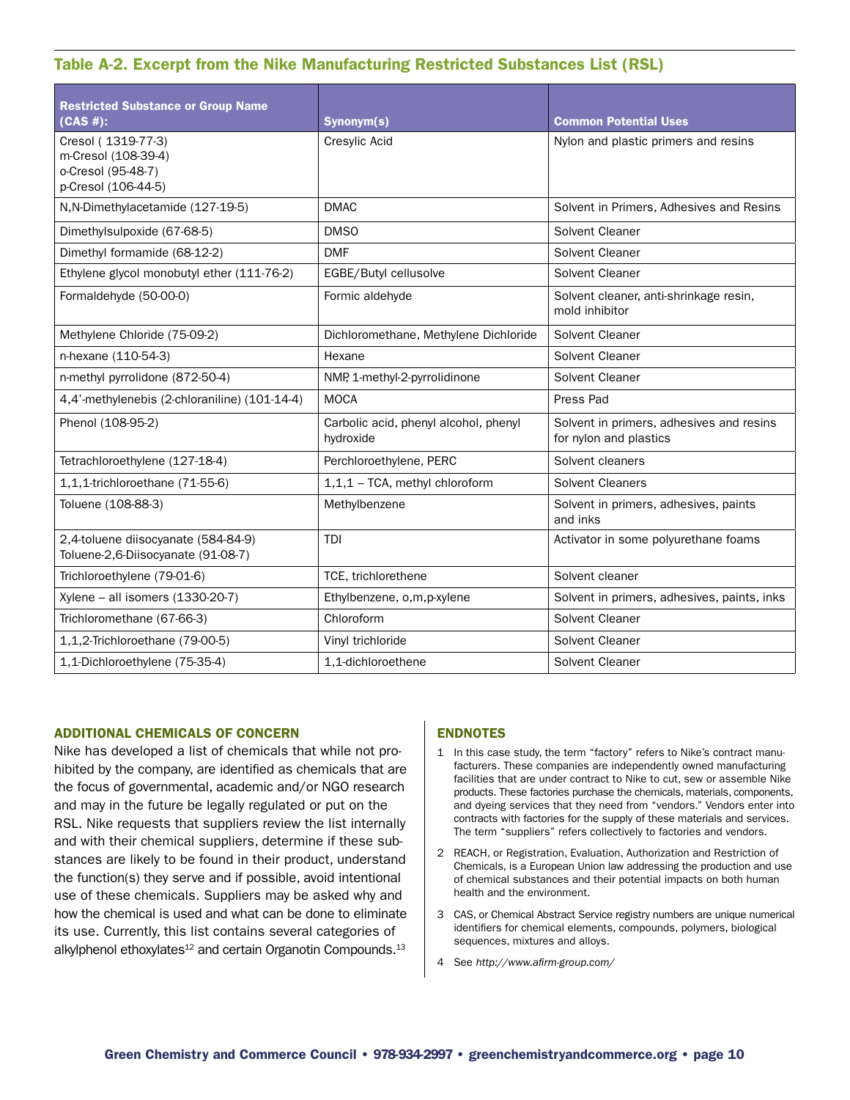# Table A-2. Excerpt from the Nike Manufacturing Restricted Substances List (RSL)

| <b>Restricted Substance or Group Name</b><br>(CAS #):                                  | Synonym(s)                                         | <b>Common Potential Uses</b>                                       |  |
|----------------------------------------------------------------------------------------|----------------------------------------------------|--------------------------------------------------------------------|--|
| Cresol (1319-77-3)<br>m-Cresol (108-39-4)<br>o-Cresol (95-48-7)<br>p-Cresol (106-44-5) | Cresylic Acid                                      | Nylon and plastic primers and resins                               |  |
| N, N-Dimethylacetamide (127-19-5)                                                      | <b>DMAC</b>                                        | Solvent in Primers, Adhesives and Resins                           |  |
| Dimethylsulpoxide (67-68-5)                                                            | DMS <sub>O</sub>                                   | Solvent Cleaner                                                    |  |
| Dimethyl formamide (68-12-2)                                                           | <b>DMF</b>                                         | Solvent Cleaner                                                    |  |
| Ethylene glycol monobutyl ether (111-76-2)                                             | EGBE/Butyl cellusolve                              | Solvent Cleaner                                                    |  |
| Formaldehyde (50-00-0)                                                                 | Formic aldehyde                                    | Solvent cleaner, anti-shrinkage resin,<br>mold inhibitor           |  |
| Methylene Chloride (75-09-2)                                                           | Dichloromethane, Methylene Dichloride              | Solvent Cleaner                                                    |  |
| n-hexane (110-54-3)                                                                    | Hexane                                             | Solvent Cleaner                                                    |  |
| n-methyl pyrrolidone (872-50-4)                                                        | NMP, 1-methyl-2-pyrrolidinone                      | Solvent Cleaner                                                    |  |
| 4,4'-methylenebis (2-chloraniline) (101-14-4)                                          | <b>MOCA</b>                                        | Press Pad                                                          |  |
| Phenol (108-95-2)                                                                      | Carbolic acid, phenyl alcohol, phenyl<br>hydroxide | Solvent in primers, adhesives and resins<br>for nylon and plastics |  |
| Tetrachloroethylene (127-18-4)                                                         | Perchloroethylene, PERC                            | Solvent cleaners                                                   |  |
| 1,1,1-trichloroethane (71-55-6)                                                        | 1,1,1 - TCA, methyl chloroform                     | <b>Solvent Cleaners</b>                                            |  |
| Toluene (108-88-3)                                                                     | Methylbenzene                                      | Solvent in primers, adhesives, paints<br>and inks                  |  |
| 2,4-toluene diisocyanate (584-84-9)<br>Toluene-2,6-Diisocyanate (91-08-7)              | TDI                                                | Activator in some polyurethane foams                               |  |
| Trichloroethylene (79-01-6)                                                            | TCE, trichlorethene                                | Solvent cleaner                                                    |  |
| Xylene - all isomers $(1330-20-7)$                                                     | Ethylbenzene, o,m,p-xylene                         | Solvent in primers, adhesives, paints, inks                        |  |
| Trichloromethane (67-66-3)                                                             | Chloroform                                         | Solvent Cleaner                                                    |  |
| 1,1,2-Trichloroethane (79-00-5)                                                        | Vinyl trichloride                                  | Solvent Cleaner                                                    |  |
| 1,1-Dichloroethylene (75-35-4)                                                         | 1.1-dichloroethene                                 | Solvent Cleaner                                                    |  |

#### Additional Chemicals of Concern

Nike has developed a list of chemicals that while not prohibited by the company, are identified as chemicals that are the focus of governmental, academic and/or NGO research and may in the future be legally regulated or put on the RSL. Nike requests that suppliers review the list internally and with their chemical suppliers, determine if these substances are likely to be found in their product, understand the function(s) they serve and if possible, avoid intentional use of these chemicals. Suppliers may be asked why and how the chemical is used and what can be done to eliminate its use. Currently, this list contains several categories of alkylphenol ethoxylates $12$  and certain Organotin Compounds. $13$ 

#### **ENDNOTES**

- 1 In this case study, the term "factory" refers to Nike's contract manufacturers. These companies are independently owned manufacturing facilities that are under contract to Nike to cut, sew or assemble Nike products. These factories purchase the chemicals, materials, components, and dyeing services that they need from "vendors." Vendors enter into contracts with factories for the supply of these materials and services. The term "suppliers" refers collectively to factories and vendors.
- 2 REACH, or Registration, Evaluation, Authorization and Restriction of Chemicals, is a European Union law addressing the production and use of chemical substances and their potential impacts on both human health and the environment.
- 3 CAS, or Chemical Abstract Service registry numbers are unique numerical identifiers for chemical elements, compounds, polymers, biological sequences, mixtures and alloys.
- 4 See *http://www.afirm-group.com/*